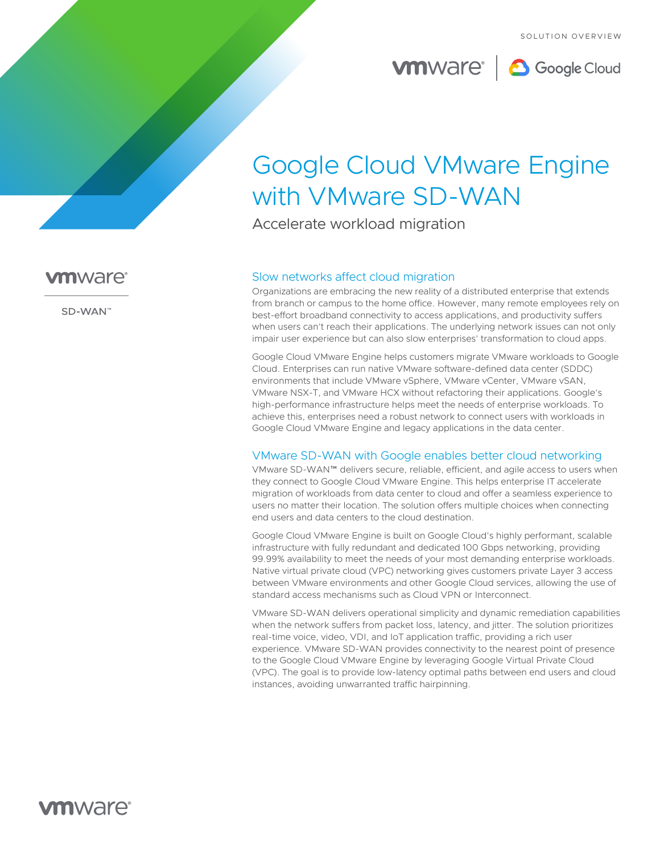

# Google Cloud VMware Engine with VMware SD-WAN

Accelerate workload migration

# Slow networks affect cloud migration

Organizations are embracing the new reality of a distributed enterprise that extends from branch or campus to the home office. However, many remote employees rely on best-effort broadband connectivity to access applications, and productivity suffers when users can't reach their applications. The underlying network issues can not only impair user experience but can also slow enterprises' transformation to cloud apps.

Google Cloud VMware Engine helps customers migrate VMware workloads to Google Cloud. Enterprises can run native VMware software-defined data center (SDDC) environments that include VMware vSphere, VMware vCenter, VMware vSAN, VMware NSX-T, and VMware HCX without refactoring their applications. Google's high-performance infrastructure helps meet the needs of enterprise workloads. To achieve this, enterprises need a robust network to connect users with workloads in Google Cloud VMware Engine and legacy applications in the data center.

# VMware SD-WAN with Google enables better cloud networking

VMware SD-WAN™ delivers secure, reliable, efficient, and agile access to users when they connect to Google Cloud VMware Engine. This helps enterprise IT accelerate migration of workloads from data center to cloud and offer a seamless experience to users no matter their location. The solution offers multiple choices when connecting end users and data centers to the cloud destination.

Google Cloud VMware Engine is built on Google Cloud's highly performant, scalable infrastructure with fully redundant and dedicated 100 Gbps networking, providing 99.99% availability to meet the needs of your most demanding enterprise workloads. Native virtual private cloud (VPC) networking gives customers private Layer 3 access between VMware environments and other Google Cloud services, allowing the use of standard access mechanisms such as Cloud VPN or Interconnect.

VMware SD-WAN delivers operational simplicity and dynamic remediation capabilities when the network suffers from packet loss, latency, and jitter. The solution prioritizes real-time voice, video, VDI, and IoT application traffic, providing a rich user experience. VMware SD-WAN provides connectivity to the nearest point of presence to the Google Cloud VMware Engine by leveraging Google Virtual Private Cloud (VPC). The goal is to provide low-latency optimal paths between end users and cloud instances, avoiding unwarranted traffic hairpinning.



SD-WAN"

# **vm**ware<sup>®</sup>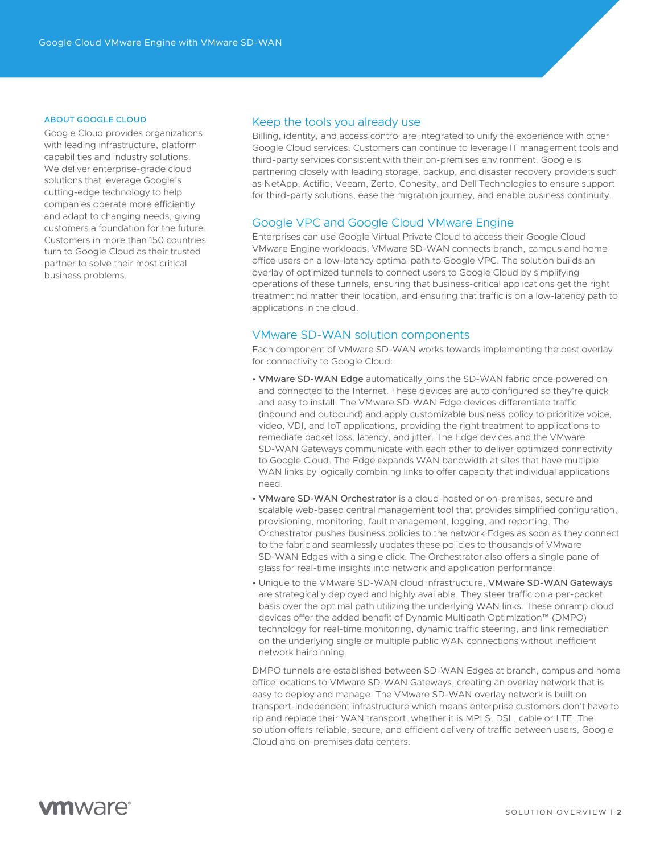#### ABOUT GOOGLE CLOUD

Google Cloud provides organizations with leading infrastructure, platform capabilities and industry solutions. We deliver enterprise-grade cloud solutions that leverage Google's cutting-edge technology to help companies operate more efficiently and adapt to changing needs, giving customers a foundation for the future. Customers in more than 150 countries turn to Google Cloud as their trusted partner to solve their most critical business problems.

#### Keep the tools you already use

Billing, identity, and access control are integrated to unify the experience with other Google Cloud services. Customers can continue to leverage IT management tools and third-party services consistent with their on-premises environment. Google is partnering closely with leading storage, backup, and disaster recovery providers such as NetApp, Actifio, Veeam, Zerto, Cohesity, and Dell Technologies to ensure support for third-party solutions, ease the migration journey, and enable business continuity.

#### Google VPC and Google Cloud VMware Engine

Enterprises can use Google Virtual Private Cloud to access their Google Cloud VMware Engine workloads. VMware SD-WAN connects branch, campus and home office users on a low-latency optimal path to Google VPC. The solution builds an overlay of optimized tunnels to connect users to Google Cloud by simplifying operations of these tunnels, ensuring that business-critical applications get the right treatment no matter their location, and ensuring that traffic is on a low-latency path to applications in the cloud.

#### VMware SD-WAN solution components

Each component of VMware SD-WAN works towards implementing the best overlay for connectivity to Google Cloud:

- VMware SD-WAN Edge automatically joins the SD-WAN fabric once powered on and connected to the Internet. These devices are auto configured so they're quick and easy to install. The VMware SD-WAN Edge devices differentiate traffic (inbound and outbound) and apply customizable business policy to prioritize voice, video, VDI, and IoT applications, providing the right treatment to applications to remediate packet loss, latency, and jitter. The Edge devices and the VMware SD-WAN Gateways communicate with each other to deliver optimized connectivity to Google Cloud. The Edge expands WAN bandwidth at sites that have multiple WAN links by logically combining links to offer capacity that individual applications need.
- VMware SD-WAN Orchestrator is a cloud-hosted or on-premises, secure and scalable web-based central management tool that provides simplified configuration, provisioning, monitoring, fault management, logging, and reporting. The Orchestrator pushes business policies to the network Edges as soon as they connect to the fabric and seamlessly updates these policies to thousands of VMware SD-WAN Edges with a single click. The Orchestrator also offers a single pane of glass for real-time insights into network and application performance.
- Unique to the VMware SD-WAN cloud infrastructure, VMware SD-WAN Gateways are strategically deployed and highly available. They steer traffic on a per-packet basis over the optimal path utilizing the underlying WAN links. These onramp cloud devices offer the added benefit of Dynamic Multipath Optimization™ (DMPO) technology for real-time monitoring, dynamic traffic steering, and link remediation on the underlying single or multiple public WAN connections without inefficient network hairpinning.

DMPO tunnels are established between SD-WAN Edges at branch, campus and home office locations to VMware SD-WAN Gateways, creating an overlay network that is easy to deploy and manage. The VMware SD-WAN overlay network is built on transport-independent infrastructure which means enterprise customers don't have to rip and replace their WAN transport, whether it is MPLS, DSL, cable or LTE. The solution offers reliable, secure, and efficient delivery of traffic between users, Google Cloud and on-premises data centers.